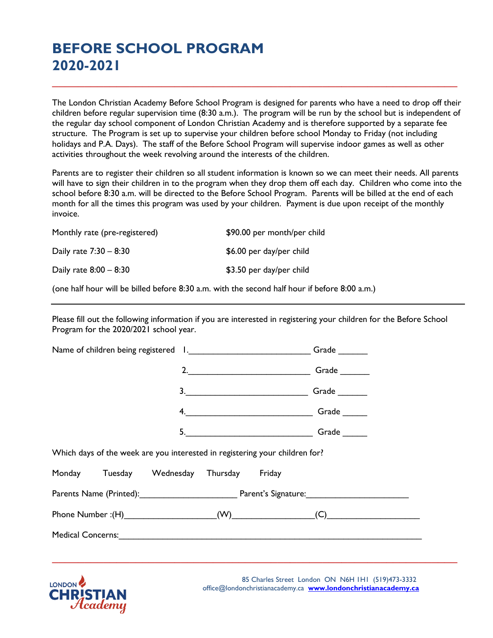## **BEFORE SCHOOL PROGRAM 2020-2021**

The London Christian Academy Before School Program is designed for parents who have a need to drop off their children before regular supervision time (8:30 a.m.). The program will be run by the school but is independent of the regular day school component of London Christian Academy and is therefore supported by a separate fee structure. The Program is set up to supervise your children before school Monday to Friday (not including holidays and P.A. Days). The staff of the Before School Program will supervise indoor games as well as other activities throughout the week revolving around the interests of the children.

**\_\_\_\_\_\_\_\_\_\_\_\_\_\_\_\_\_\_\_\_\_\_\_\_\_\_\_\_\_\_\_\_\_\_\_\_\_\_\_\_\_\_\_\_\_\_\_\_\_\_\_\_\_\_\_\_\_\_\_\_\_\_\_**

Parents are to register their children so all student information is known so we can meet their needs. All parents will have to sign their children in to the program when they drop them off each day. Children who come into the school before 8:30 a.m. will be directed to the Before School Program. Parents will be billed at the end of each month for all the times this program was used by your children. Payment is due upon receipt of the monthly invoice.

Monthly rate (pre-registered)  $$90.00$  per month/per child

Daily rate  $7:30 - 8:30$  \$6.00 per day/per child

Daily rate  $8:00 - 8:30$  \$3.50 per day/per child

(one half hour will be billed before 8:30 a.m. with the second half hour if before 8:00 a.m.)

Please fill out the following information if you are interested in registering your children for the Before School Program for the 2020/2021 school year.

|                                                                             |                                     |                                                                                                                                                                                                                                | Grade |  |  |  |
|-----------------------------------------------------------------------------|-------------------------------------|--------------------------------------------------------------------------------------------------------------------------------------------------------------------------------------------------------------------------------|-------|--|--|--|
|                                                                             | 2.                                  |                                                                                                                                                                                                                                | Grade |  |  |  |
|                                                                             | $\begin{array}{c}\n3.\n\end{array}$ |                                                                                                                                                                                                                                | Grade |  |  |  |
|                                                                             |                                     | 4. Canada Caracter Contract Contract Contract Contract Contract Contract Contract Contract Contract Contract Contract Contract Contract Contract Contract Contract Contract Contract Contract Contract Contract Contract Contr |       |  |  |  |
|                                                                             |                                     | 5. Grade                                                                                                                                                                                                                       |       |  |  |  |
| Which days of the week are you interested in registering your children for? |                                     |                                                                                                                                                                                                                                |       |  |  |  |
| Monday Tuesday Wednesday Thursday Friday                                    |                                     |                                                                                                                                                                                                                                |       |  |  |  |
| Parents Name (Printed): Parent's Signature: Parent's Signature.             |                                     |                                                                                                                                                                                                                                |       |  |  |  |
|                                                                             |                                     |                                                                                                                                                                                                                                |       |  |  |  |
|                                                                             |                                     |                                                                                                                                                                                                                                |       |  |  |  |
|                                                                             |                                     |                                                                                                                                                                                                                                |       |  |  |  |
|                                                                             |                                     |                                                                                                                                                                                                                                |       |  |  |  |



 85 Charles Street London ON N6H 1H1 (519)473-3332 office@londonchristianacademy.ca **[www.londonchristianacademy.ca](http://www.londonchristianacademy.ca/)**